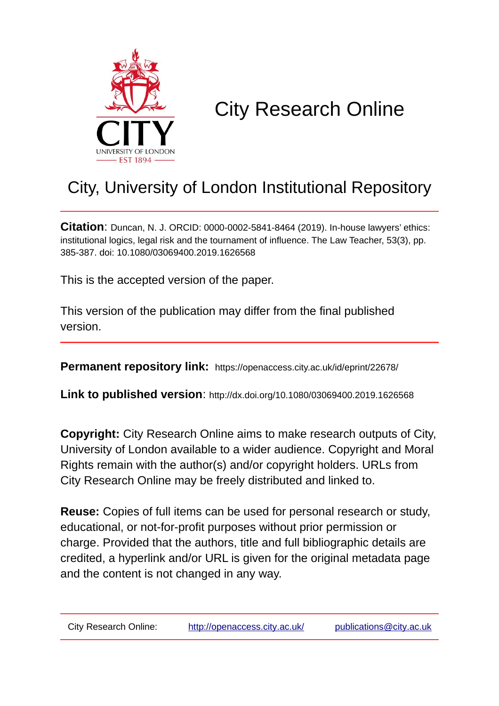

## City Research Online

## City, University of London Institutional Repository

**Citation**: Duncan, N. J. ORCID: 0000-0002-5841-8464 (2019). In-house lawyers' ethics: institutional logics, legal risk and the tournament of influence. The Law Teacher, 53(3), pp. 385-387. doi: 10.1080/03069400.2019.1626568

This is the accepted version of the paper.

This version of the publication may differ from the final published version.

**Permanent repository link:** https://openaccess.city.ac.uk/id/eprint/22678/

**Link to published version**: http://dx.doi.org/10.1080/03069400.2019.1626568

**Copyright:** City Research Online aims to make research outputs of City, University of London available to a wider audience. Copyright and Moral Rights remain with the author(s) and/or copyright holders. URLs from City Research Online may be freely distributed and linked to.

**Reuse:** Copies of full items can be used for personal research or study, educational, or not-for-profit purposes without prior permission or charge. Provided that the authors, title and full bibliographic details are credited, a hyperlink and/or URL is given for the original metadata page and the content is not changed in any way.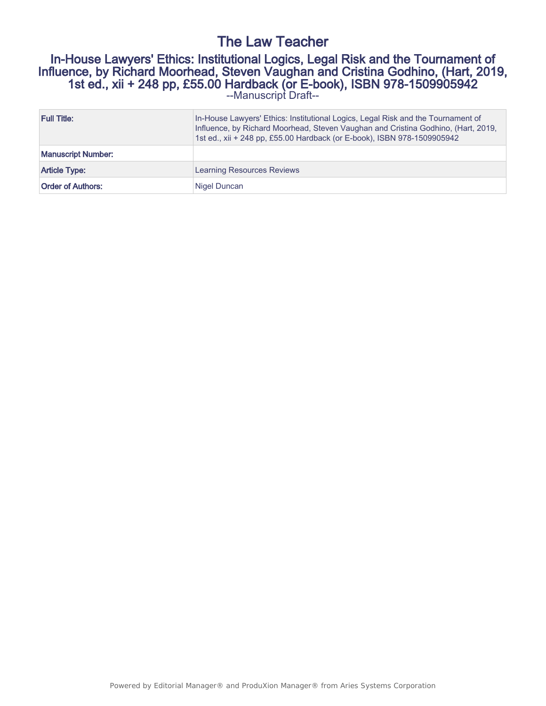## The Law Teacher

## In-House Lawyers' Ethics: Institutional Logics, Legal Risk and the Tournament of Influence, by Richard Moorhead, Steven Vaughan and Cristina Godhino, (Hart, 2019, 1st ed., xii + 248 pp, £55.00 Hardback (or E-book), ISBN 978-1509905942 --Manuscript Draft--

| <b>Full Title:</b>        | In-House Lawyers' Ethics: Institutional Logics, Legal Risk and the Tournament of<br>Influence, by Richard Moorhead, Steven Vaughan and Cristina Godhino, (Hart, 2019,<br>1st ed., xii + 248 pp, £55.00 Hardback (or E-book), ISBN 978-1509905942 |
|---------------------------|--------------------------------------------------------------------------------------------------------------------------------------------------------------------------------------------------------------------------------------------------|
| <b>Manuscript Number:</b> |                                                                                                                                                                                                                                                  |
| <b>Article Type:</b>      | <b>Learning Resources Reviews</b>                                                                                                                                                                                                                |
| <b>Order of Authors:</b>  | Nigel Duncan                                                                                                                                                                                                                                     |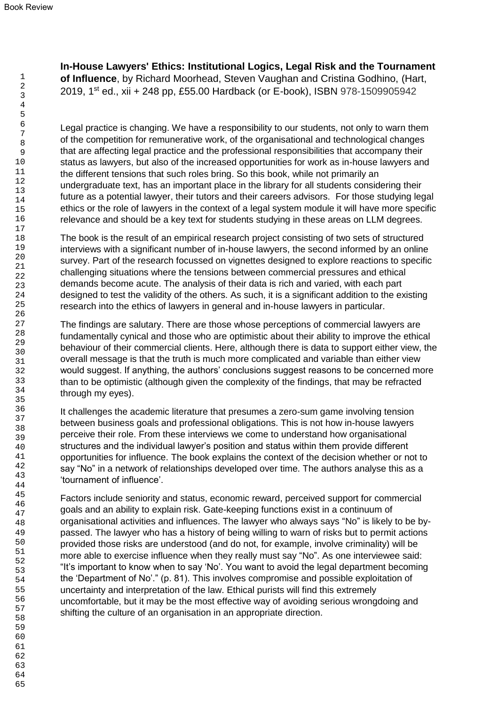**In-House Lawyers' Ethics: Institutional Logics, Legal Risk and the Tournament of Influence**, by Richard Moorhead, Steven Vaughan and Cristina Godhino, (Hart, 2019, 1<sup>st</sup> ed., xii + 248 pp, £55.00 Hardback (or E-book), ISBN 978-1509905942

Legal practice is changing. We have a responsibility to our students, not only to warn them of the competition for remunerative work, of the organisational and technological changes that are affecting legal practice and the professional responsibilities that accompany their status as lawyers, but also of the increased opportunities for work as in-house lawyers and the different tensions that such roles bring. So this book, while not primarily an undergraduate text, has an important place in the library for all students considering their future as a potential lawyer, their tutors and their careers advisors. For those studying legal ethics or the role of lawyers in the context of a legal system module it will have more specific relevance and should be a key text for students studying in these areas on LLM degrees.

The book is the result of an empirical research project consisting of two sets of structured interviews with a significant number of in-house lawyers, the second informed by an online survey. Part of the research focussed on vignettes designed to explore reactions to specific challenging situations where the tensions between commercial pressures and ethical demands become acute. The analysis of their data is rich and varied, with each part designed to test the validity of the others. As such, it is a significant addition to the existing research into the ethics of lawyers in general and in-house lawyers in particular.

The findings are salutary. There are those whose perceptions of commercial lawyers are fundamentally cynical and those who are optimistic about their ability to improve the ethical behaviour of their commercial clients. Here, although there is data to support either view, the overall message is that the truth is much more complicated and variable than either view would suggest. If anything, the authors' conclusions suggest reasons to be concerned more than to be optimistic (although given the complexity of the findings, that may be refracted through my eyes).

It challenges the academic literature that presumes a zero-sum game involving tension between business goals and professional obligations. This is not how in-house lawyers perceive their role. From these interviews we come to understand how organisational structures and the individual lawyer's position and status within them provide different opportunities for influence. The book explains the context of the decision whether or not to say "No" in a network of relationships developed over time. The authors analyse this as a 'tournament of influence'.

Factors include seniority and status, economic reward, perceived support for commercial goals and an ability to explain risk. Gate-keeping functions exist in a continuum of organisational activities and influences. The lawyer who always says "No" is likely to be bypassed. The lawyer who has a history of being willing to warn of risks but to permit actions provided those risks are understood (and do not, for example, involve criminality) will be more able to exercise influence when they really must say "No". As one interviewee said: "It's important to know when to say 'No'. You want to avoid the legal department becoming the 'Department of No'." (p. 81). This involves compromise and possible exploitation of uncertainty and interpretation of the law. Ethical purists will find this extremely uncomfortable, but it may be the most effective way of avoiding serious wrongdoing and shifting the culture of an organisation in an appropriate direction.